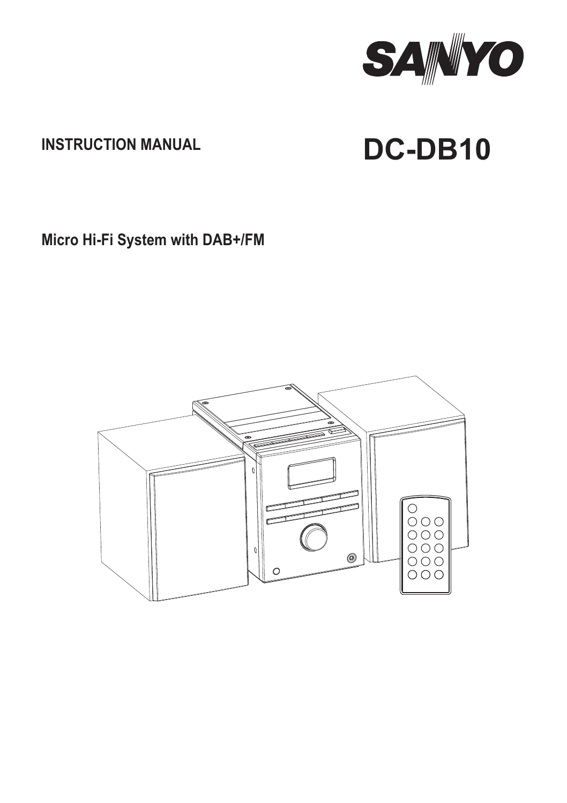

# **INSTRUCTION MANUAL DC-DB10**

**Micro Hi-Fi System with DAB+/FM**

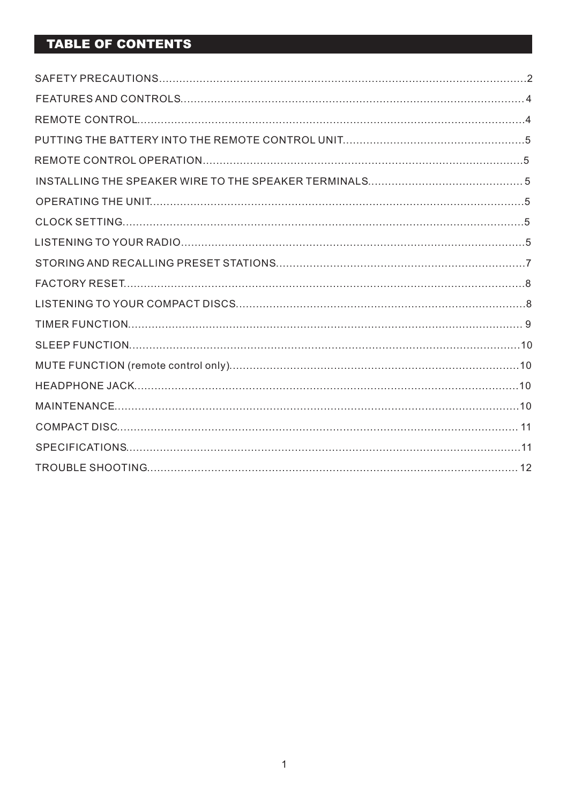### **TABLE OF CONTENTS**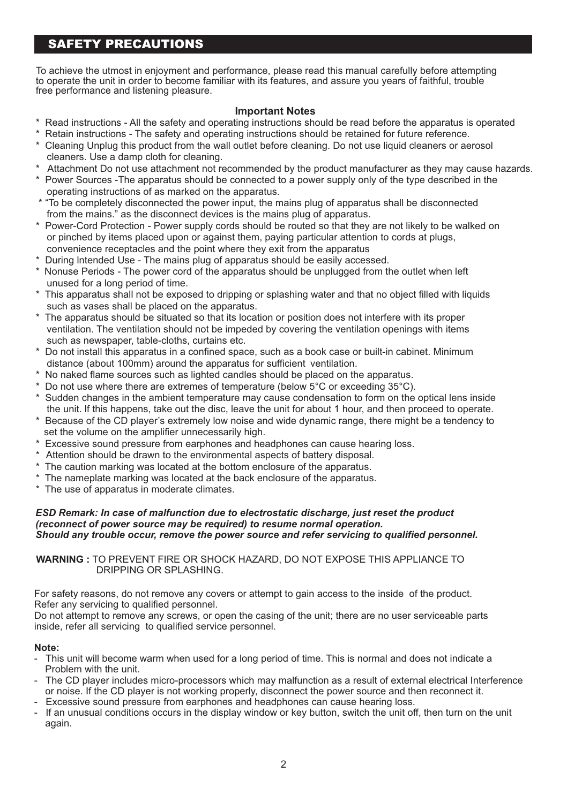### **SAFETY PRECAUTIONS**

To achieve the utmost in enjoyment and performance, please read this manual carefully before attempting to operate the unit in order to become familiar with its features, and assure you years of faithful, trouble free performance and listening pleasure.

#### **Important Notes**

- \* Read instructions All the safety and operating instructions should be read before the apparatus is operated
- \* Retain instructions The safety and operating instructions should be retained for future reference.
- \* Cleaning Unplug this product from the wall outlet before cleaning. Do not use liquid cleaners or aerosol cleaners. Use a damp cloth for cleaning.
- \* Attachment Do not use attachment not recommended by the product manufacturer as they may cause hazards.
- \* Power Sources -The apparatus should be connected to a power supply only of the type described in the operating instructions of as marked on the apparatus.
- \* "To be completely disconnected the power input, the mains plug of apparatus shall be disconnected from the mains." as the disconnect devices is the mains plug of apparatus.
- \* Power-Cord Protection Power supply cords should be routed so that they are not likely to be walked on or pinched by items placed upon or against them, paying particular attention to cords at plugs, convenience receptacles and the point where they exit from the apparatus
- \* During lntended Use The mains plug of apparatus should be easily accessed.
- \* Nonuse Periods The power cord of the apparatus should be unplugged from the outlet when left unused for a long period of time.
- This apparatus shall not be exposed to dripping or splashing water and that no object filled with liquids such as vases shall be placed on the apparatus.
- \* The apparatus should be situated so that its location or position does not interfere with its proper ventilation. The ventilation should not be impeded by covering the ventilation openings with items such as newspaper, table-cloths, curtains etc.
- \* Do not install this apparatus in a confined space, such as a book case or built-in cabinet. Minimum distance (about 100mm) around the apparatus for sufficient ventilation.
- \* No naked flame sources such as lighted candles should be placed on the apparatus.
- $^\ast$  Do not use where there are extremes of temperature (below 5°C or exceeding 35°C).
- Sudden changes in the ambient temperature may cause condensation to form on the optical lens inside the unit. lf this happens, take out the disc, leave the unit for about 1 hour, and then proceed to operate.
- \* Because of the CD player's extremely low noise and wide dynamic range, there might be a tendency to set the volume on the amplifier unnecessarily high.
- \* Excessive sound pressure from earphones and headphones can cause hearing loss.
- \* Attention should be drawn to the environmental aspects of battery disposal.
- \* The caution marking was located at the bottom enclosure of the apparatus.
- \* The nameplate marking was located at the back enclosure of the apparatus.
- \* The use of apparatus in moderate climates.

#### *ESD Remark: In case of malfunction due to electrostatic discharge, just reset the product (reconnect of power source may be required) to resume normal operation. Should any trouble occur, remove the power source and refer servicing to qualified personnel.*

**WARNING :** TO PREVENT FIRE OR SHOCK HAZARD, DO NOT EXPOSE THIS APPLIANCE TO DRIPPING OR SPLASHING.

For safety reasons, do not remove any covers or attempt to gain access to the inside of the product. Refer any servicing to qualified personnel.

Do not attempt to remove any screws, or open the casing of the unit; there are no user serviceable parts inside, refer all servicing to qualified service personnel.

#### **Note:**

- This unit will become warm when used for a long period of time. This is normal and does not indicate a Problem with the unit.
- The CD player includes micro-processors which may malfunction as a result of external electrical Interference or noise. If the CD player is not working properly, disconnect the power source and then reconnect it.
- Excessive sound pressure from earphones and headphones can cause hearing loss.
- If an unusual conditions occurs in the display window or key button, switch the unit off, then turn on the unit again.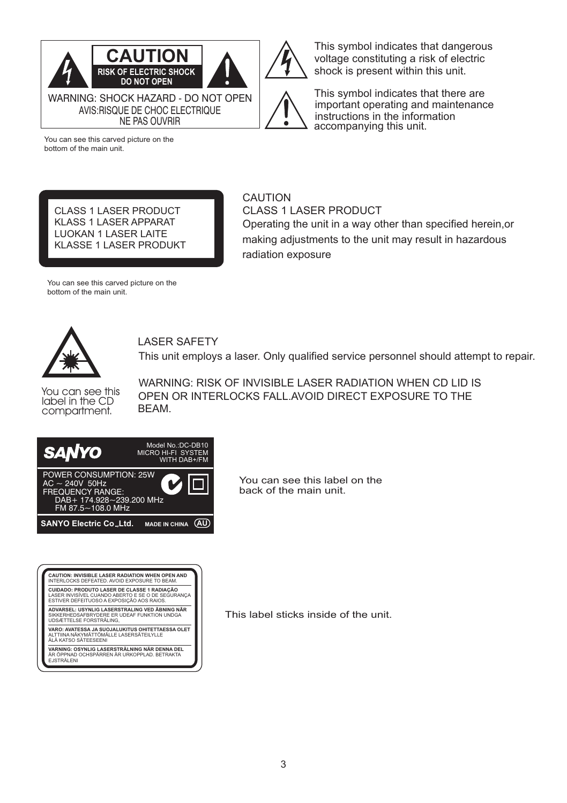

shock is present within this unit. This symbol indicates that there are important operating and maintenance

instructions in the information accompanying this unit.

This symbol indicates that dangerous voltage constituting a risk of electric

You can see this carved picture on the bottom of the main unit.

CLASS 1 LASER PRODUCT KLASS 1 LASER APPARAT LUOKAN 1 LASER LAITE KLASSE 1 LASER PRODUKT

### CAUTION

CLASS 1 LASER PRODUCT Operating the unit in a way other than specified herein,or making adjustments to the unit may result in hazardous radiation exposure

You can see this carved picture on the bottom of the main unit.



### LASER SAFETY

This unit employs a laser. Only qualified service personnel should attempt to repair.

You can see this label in the CD compartment.

WARNING: RISK OF INVISIBLE LASER RADIATION WHEN CD LID IS OPEN OR INTERLOCKS FALL.AVOID DIRECT EXPOSURE TO THE BEAM.



| CAUTION: INVISIBLE LASER RADIATION WHEN OPEN AND<br>INTERLOCKS DEFEATED AVOID EXPOSURE TO BEAM.                                               |  |
|-----------------------------------------------------------------------------------------------------------------------------------------------|--|
| CUIDADO: PRODUTO LASER DE CLASSE 1 RADIACÃO<br>LASER INVISÍVEL CUANDO ABERTO E SE O DE SEGURANCA<br>ESTIVER DEFEITUOSO A EXPOSICÃO AOS RAIOS. |  |
| ADVARSEL: USYNLIG LASERSTRALING VED ÄBNING NÄR<br>SIKKERHEDSAFBRYDERE ER UDEAF FUNKTION UNDGA<br>UDSÆTTELSE FORSTRÄLING.                      |  |
| VARO: AVATESSA JA SUOJALUKITUS OHITETTAESSA OLET<br>AI TTIINA NÄKYMÄTTÖMÄI I F I ASERSÄTEII YI I F<br>ÄI Ä KATSO SÄTEESEENI                   |  |
| VARNING: OSYNLIG LASERSTRÄLNING NÄR DENNA DEL<br>ÄR ÖPPNAD OCHSPÄRREN ÄR URKOPPLAD. BETRAKTA<br>FJSTRÄLFNI                                    |  |

You can see this label on the back of the main unit.

This label sticks inside of the unit.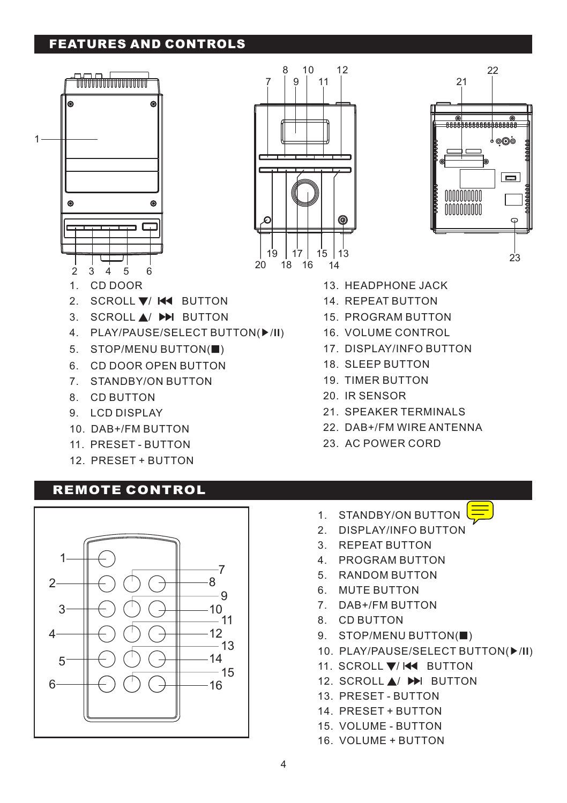### **FEATURES AND CONTROLS**







- 13. HEADPHONE JACK
- 14. REPEAT BUTTON
- 15. PROGRAM BUTTON
- 16. VOLUME CONTROL
- 17. DISPLAY/INFO BUTTON
- 18. SLEEP BUTTON
- 19. TIMER BUTTON
- 20. IR SENSOR
- 21. SPEAKER TERMINALS
- 22. DAB+/FM WIRE ANTENNA
- 23. AC POWER CORD
- 
- 3. SCROLL ▲/ ▶▶**I** BUTTON
- 4. PLAY/PAUSE/SELECT BUTTON( ▶/**II**)
- 5. STOP/MENU BUTTON(■)
- 6. CD DOOR OPEN BUTTON
- 7. STANDBY/ON BUTTON
- 8. CD BUTTON
- 9. LCD DISPLAY
- 10. DAB+/FM BUTTON
- 11. PRESET BUTTON
- 12. PRESET + BUTTON

### **REMOTE CONTROL**



- 1. STANDBY/ON BUTTON
- 2. DISPLAY/INFO BUTTON
- 3. REPEAT BUTTON
- 4. PROGRAM BUTTON
- 5. RANDOM BUTTON
- 6. MUTE BUTTON
- 7. DAB+/FM BUTTON
- 8. CD BUTTON
- 9. STOP/MENU BUTTON(■)
- 10. PLAY/PAUSE/SELECT BUTTON( ▶/**II**)
- 11. SCROLL ▼/ I◀◀ BUTTON
- 12. SCROLL ▲/ ▶▶I BUTTON
- 13. PRESET BUTTON
- 14. PRESET + BUTTON
- 15. VOLUME BUTTON
- 16. VOLUME + BUTTON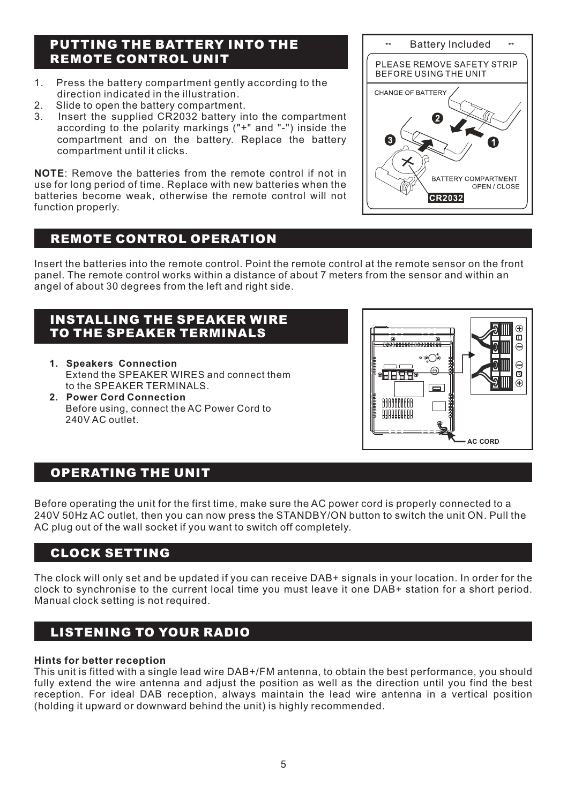### **PUTTING THE BATTERY INTO THE REMOTE CONTROL UNIT**

- 1. Press the battery compartment gently according to the direction indicated in the illustration.
- 2. Slide to open the battery compartment.<br>3. Insert the sunnlied CR2032 battery in
- Insert the supplied CR2032 battery into the compartment according to the polarity markings ("+" and "-") inside the compartment and on the battery. Replace the battery compartment until it clicks.

**NOTE**: Remove the batteries from the remote control if not in use for long period of time. Replace with new batteries when the batteries become weak, otherwise the remote control will not function properly.

### **REMOTE CONTROL OPERATION**

Insert the batteries into the remote control. Point the remote control at the remote sensor on the front panel. The remote control works within a distance of about 7 meters from the sensor and within an angel of about 30 degrees from the left and right side.

### INSTALLING THE SPEAKER WIRE TO THE SPEAKER TERMINALS

- **1. Speakers Connection** Extend the SPEAKER WIRES and connect them to the SPEAKER TERMINALS.
- **2. Power Cord Connection** Before using, connect the AC Power Cord to 240V AC outlet.



### **OPERATING THE UNIT**

Before operating the unit for the first time, make sure the AC power cord is properly connected to a 240V 50Hz AC outlet, then you can now press the STANDBY/ON button to switch the unit ON. Pull the AC plug out of the wall socket if you want to switch off completely.

### **CLOCK SETTING**

The clock will only set and be updated if you can receive DAB+ signals in your location. In order for the clock to synchronise to the current local time you must leave it one DAB+ station for a short period. Manual clock setting is not required.

### **LISTENING TO YOUR RADIO**

#### **Hints for better reception**

This unit is fitted with a single lead wire DAB+/FM antenna, to obtain the best performance, you should fully extend the wire antenna and adjust the position as well as the direction until you find the best reception. For ideal DAB reception, always maintain the lead wire antenna in a vertical position (holding it upward or downward behind the unit) is highly recommended.

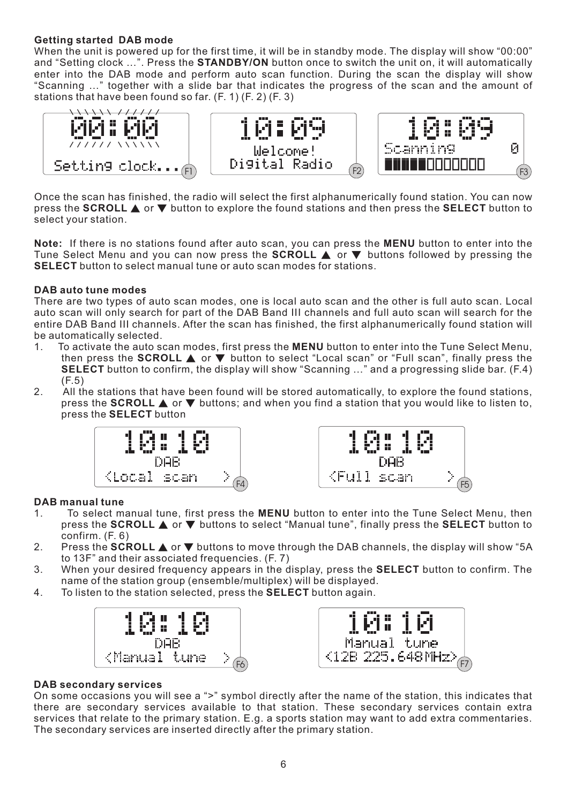#### **Getting started DAB mode**

When the unit is powered up for the first time, it will be in standby mode. The display will show "00:00" and "Setting clock …". Press the **STANDBY/ON** button once to switch the unit on, it will automatically enter into the DAB mode and perform auto scan function. During the scan the display will show "Scanning …" together with a slide bar that indicates the progress of the scan and the amount of stations that have been found so far. (F. 1) (F. 2) (F. 3)



Once the scan has finished, the radio will select the first alphanumerically found station. You can now press the **SCROLL** ▲ or ▼ button to explore the found stations and then press the **SELECT** button to select your station.

**Note:** If there is no stations found after auto scan, you can press the **MENU** button to enter into the Tune Select Menu and you can now press the **SCROLL** ▲ or ▼ buttons followed by pressing the **SELECT** button to select manual tune or auto scan modes for stations.

#### **DAB auto tune modes**

There are two types of auto scan modes, one is local auto scan and the other is full auto scan. Local auto scan will only search for part of the DAB Band III channels and full auto scan will search for the entire DAB Band III channels. After the scan has finished, the first alphanumerically found station will be automatically selected.

- 1. To activate the auto scan modes, first press the **MENU** button to enter into the Tune Select Menu, then press the **SCROLL** ▲ or ▼ button to select "Local scan" or "Full scan", finally press the **SELECT** button to confirm, the display will show "Scanning …" and a progressing slide bar. (F.4)  $(F.5)$
- 2. All the stations that have been found will be stored automatically, to explore the found stations, press the **SCROLL** ▲ or ▼ buttons; and when you find a station that you would like to listen to, press the **SELECT** button





#### **DAB manual tune**

- 1. To select manual tune, first press the **MENU** button to enter into the Tune Select Menu, then press the **SCROLL** ▲ or ▼ buttons to select "Manual tune", finally press the **SELECT** button to confirm. (F. 6)
- 2. Press the **SCROLL** ▲ or ▼ buttons to move through the DAB channels, the display will show "5A to 13F" and their associated frequencies. (F. 7)
- 3. When your desired frequency appears in the display, press the **SELECT** button to confirm. The name of the station group (ensemble/multiplex) will be displayed.
- 4. To listen to the station selected, press the **SELECT** button again.





#### **DAB secondary services**

On some occasions you will see a ">" symbol directly after the name of the station, this indicates that there are secondary services available to that station. These secondary services contain extra services that relate to the primary station. E.g. a sports station may want to add extra commentaries. The secondary services are inserted directly after the primary station.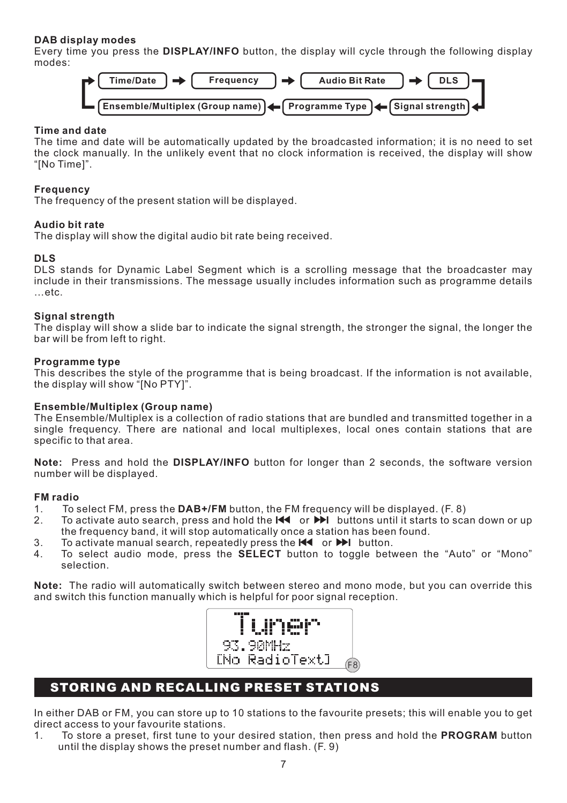#### **DAB display modes**

Every time you press the **DISPLAY/INFO** button, the display will cycle through the following display modes:



#### **Time and date**

The time and date will be automatically updated by the broadcasted information; it is no need to set the clock manually. In the unlikely event that no clock information is received, the display will show "[No Time]".

#### **Frequency**

The frequency of the present station will be displayed.

#### **Audio bit rate**

The display will show the digital audio bit rate being received.

#### **DLS**

DLS stands for Dynamic Label Segment which is a scrolling message that the broadcaster may include in their transmissions. The message usually includes information such as programme details …etc.

#### **Signal strength**

The display will show a slide bar to indicate the signal strength, the stronger the signal, the longer the bar will be from left to right.

#### **Programme type**

This describes the style of the programme that is being broadcast. If the information is not available, the display will show "[No PTY]".

#### **Ensemble/Multiplex (Group name)**

The Ensemble/Multiplex is a collection of radio stations that are bundled and transmitted together in a single frequency. There are national and local multiplexes, local ones contain stations that are specific to that area.

**Note:** Press and hold the **DISPLAY/INFO** button for longer than 2 seconds, the software version number will be displayed.

#### **FM radio**

- 1. To select FM, press the **DAB+/FM** button, the FM frequency will be displayed. (F. 8)
- 2. To activate auto search, press and hold the **I**◀◀ or ▶▶**I** buttons until it starts to scan down or up the frequency band, it will stop automatically once a station has been found.
- 3. To activate manual search, repeatedly press the ◀**I** ◀ or ▶▶**I** button.
- 4. To select audio mode, press the **SELECT** button to toggle between the "Auto" or "Mono" selection.

**Note:** The radio will automatically switch between stereo and mono mode, but you can override this and switch this function manually which is helpful for poor signal reception.



### **STORING AND RECALLING PRESET STATIONS**

In either DAB or FM, you can store up to 10 stations to the favourite presets; this will enable you to get direct access to your favourite stations.

1. To store a preset, first tune to your desired station, then press and hold the **PROGRAM** button until the display shows the preset number and flash. (F. 9)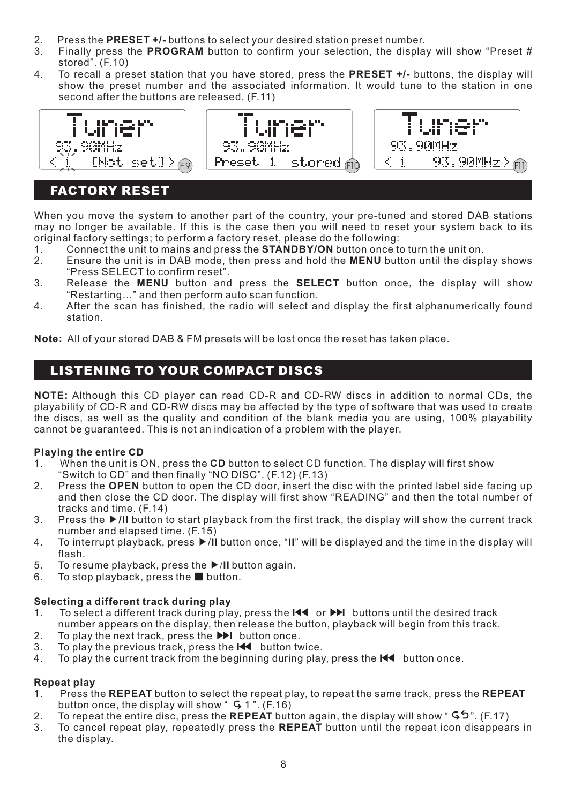- 2. Press the **PRESET +/-** buttons to select your desired station preset number.<br>2. Finally press the **PPOGPAM** button to confirm your selection, the display
- 3. Finally press the **PROGRAM** button to confirm your selection, the display will show "Preset # stored". (F.10)
- 4. To recall a preset station that you have stored, press the **PRESET +/-** buttons, the display will show the preset number and the associated information. It would tune to the station in one second after the buttons are released. (F.11)



### **FACTORY RESET**

When you move the system to another part of the country, your pre-tuned and stored DAB stations may no longer be available. If this is the case then you will need to reset your system back to its original factory settings; to perform a factory reset, please do the following:<br>1. Connect the unit to mains and press the **STANDBY/ON** button once to

- 1. Connect the unit to mains and press the **STANDBY/ON** button once to turn the unit on.<br>2. Ensure the unit is in DAB mode, then press and hold the **MENII** button until the displ
- 2. Ensure the unit is in DAB mode, then press and hold the **MENU** button until the display shows "Press SELECT to confirm reset".
- 3. Release the **MENU** button and press the **SELECT** button once, the display will show "Restarting…" and then perform auto scan function.
- 4. After the scan has finished, the radio will select and display the first alphanumerically found station.

**Note:** All of your stored DAB & FM presets will be lost once the reset has taken place.

### **LISTENING TO YOUR COMPACT DISCS**

**NOTE:** Although this CD player can read CD-R and CD-RW discs in addition to normal CDs, the playability of CD-R and CD-RW discs may be affected by the type of software that was used to create the discs, as well as the quality and condition of the blank media you are using, 100% playability cannot be guaranteed. This is not an indication of a problem with the player.

#### **Playing the entire CD**

- 1. When the unit is ON, press the **CD** button to select CD function. The display will first show "Switch to CD" and then finally "NO DISC". (F.12) (F.13)
- 2. Press the **OPEN** button to open the CD door, insert the disc with the printed label side facing up and then close the CD door. The display will first show "READING" and then the total number of tracks and time. (F.14)
- 3. Press the ▶**/II** button to start playback from the first track, the display will show the current track number and elapsed time. (F.15)
- 4. To interrupt playback, press ▶/**II** button once, "**II**" will be displayed and the time in the display will flash.
- 5. To resume playback, press the ▶**/II** button again.
- 6. To stop playback, press the button.

#### **Selecting a different track during play**

- 1. To select a different track during play, press the **I**◀◀ or ▶▶**I** buttons until the desired track number appears on the display, then release the button, playback will begin from this track.
- 2. To play the next track, press the ▶▶**I** button once.
- 3. To play the previous track, press the **I**◀◀ button twice.
- 4. To play the current track from the beginning during play, press the **I**◀◀ button once.

#### **Repeat play**

- 1. Press the **REPEAT** button to select the repeat play, to repeat the same track, press the **REPEAT** button once, the display will show "  $\overline{5}$  1". (F.16)
- 2. To repeat the entire disc, press the **REPEAT** button again, the display will show " ". (F.17)
- 3. To cancel repeat play, repeatedly press the **REPEAT** button until the repeat icon disappears in the display.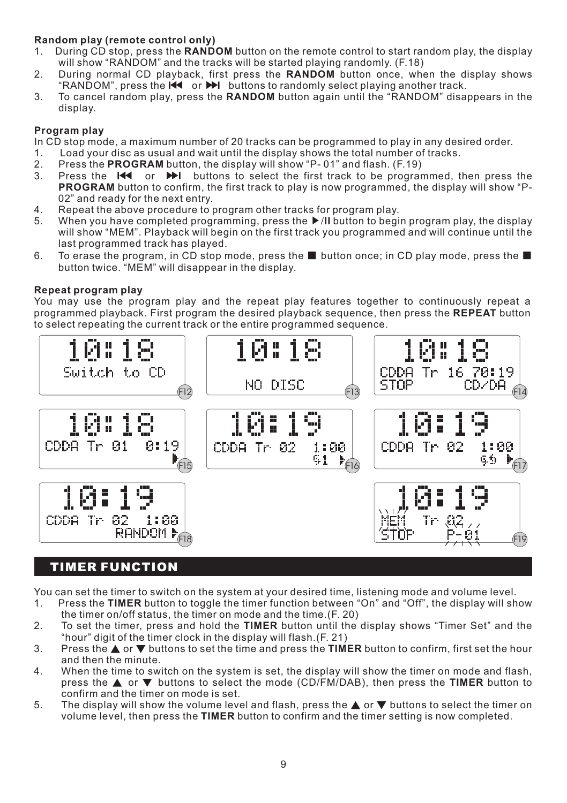## **Random play (remote control only)**

- 1. During CD stop, press the **RANDOM** button on the remote control to start random play, the display will show "RANDOM" and the tracks will be started playing randomly. (F.18)
- 2. During normal CD playback, first press the **RANDOM** button once, when the display shows "RANDOM", press the **I**◀◀ or ▶▶**I** buttons to randomly select playing another track.
- 3. To cancel random play, press the **RANDOM** button again until the "RANDOM" disappears in the display.

#### **Program play**

In CD stop mode, a maximum number of 20 tracks can be programmed to play in any desired order.<br>1 and your disc as usual and wait until the display shows the total number of tracks

- 1. Load your disc as usual and wait until the display shows the total number of tracks.<br>2. Press the **PROGRAM** button, the display will show "P-01" and flash. (F.19)
- 2. Press the **PROGRAM** button, the display will show "P-01" and flash. (F.19)
- 3. Press the **I**◀◀ or ▶▶**I** buttons to select the first track to be programmed, then press the **PROGRAM** button to confirm, the first track to play is now programmed, the display will show "P-02" and ready for the next entry.
- 4. Repeat the above procedure to program other tracks for program play.
- 5. When you have completed programming, press the ▶**/II** button to begin program play, the display will show "MEM". Playback will begin on the first track you programmed and will continue until the last programmed track has played.
- 6. To erase the program, in CD stop mode, press the button once; in CD play mode, press the button twice. "MEM" will disappear in the display.

#### **Repeat program play**

You may use the program play and the repeat play features together to continuously repeat a programmed playback. First program the desired playback sequence, then press the **REPEAT** button to select repeating the current track or the entire programmed sequence.



### **TIMER FUNCTION**

You can set the timer to switch on the system at your desired time, listening mode and volume level.<br>1. Press the TIMER button to toggle the timer function between "On" and "Off", the display will sh

- 1. Press the **TIMER** button to toggle the timer function between "On" and "Off", the display will show the timer on/off status, the timer on mode and the time.(F. 20)
- 2. To set the timer, press and hold the **TIMER** button until the display shows "Timer Set" and the "hour" digit of the timer clock in the display will flash.(F. 21)
- 3. Press the ▲ or ▼ buttons to set the time and press the **TIMER** button to confirm, first set the hour and then the minute.
- 4. When the time to switch on the system is set, the display will show the timer on mode and flash, press the ▲ or ▼ buttons to select the mode (CD/FM/DAB), then press the **TIMER** button to confirm and the timer on mode is set.
- 5. The display will show the volume level and flash, press the ▲ or ▼ buttons to select the timer on volume level, then press the **TIMER** button to confirm and the timer setting is now completed.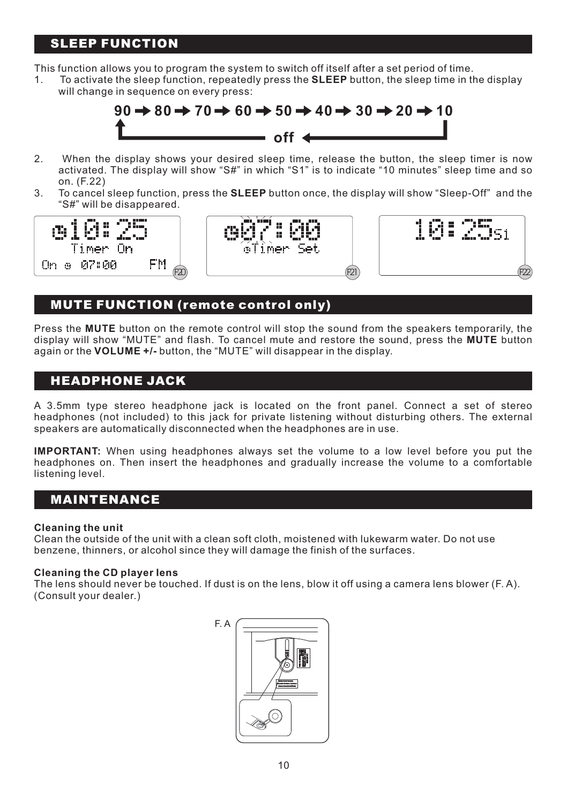### **SLEEP FUNCTION**

This function allows you to program the system to switch off itself after a set period of time.

1. To activate the sleep function, repeatedly press the **SLEEP** button, the sleep time in the display will change in sequence on every press:



- 2. When the display shows your desired sleep time, release the button, the sleep timer is now activated. The display will show "S#" in which "S1" is to indicate "10 minutes" sleep time and so on. (F.22)
- 3. To cancel sleep function, press the **SLEEP** button once, the display will show "Sleep-Off" and the "S#" will be disappeared.



### **MUTE FUNCTION (remote control only)**

Press the **MUTE** button on the remote control will stop the sound from the speakers temporarily, the display will show "MUTE" and flash. To cancel mute and restore the sound, press the **MUTE** button again or the **VOLUME +/-** button, the "MUTE" will disappear in the display.

F22

### **HEADPHONE JACK**

A 3.5mm type stereo headphone jack is located on the front panel. Connect a set of stereo headphones (not included) to this jack for private listening without disturbing others. The external speakers are automatically disconnected when the headphones are in use.

**IMPORTANT:** When using headphones always set the volume to a low level before you put the headphones on. Then insert the headphones and gradually increase the volume to a comfortable listening level.

### **MAINTENANCE**

#### **Cleaning the unit**

Clean the outside of the unit with a clean soft cloth, moistened with lukewarm water. Do not use benzene, thinners, or alcohol since they will damage the finish of the surfaces.

#### **Cleaning the CD player Iens**

The lens should never be touched. If dust is on the lens, blow it off using a camera lens blower (F. A). (Consult your dealer.)

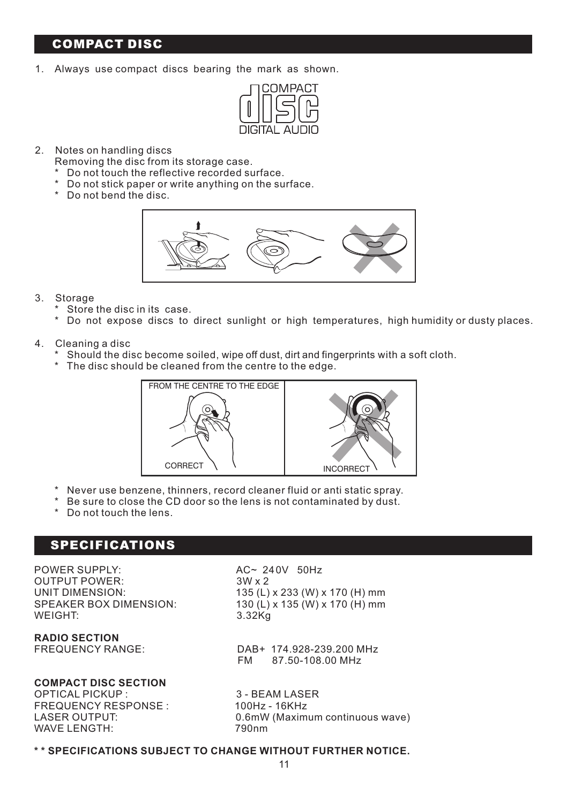### **COMPACT DISC**

1. Always use compact discs bearing the mark as shown.



- 2. Notes on handling discs
	- Removing the disc from its storage case.
	- \* Do not touch the reflective recorded surface.
	- \* Do not stick paper or write anything on the surface.
	- \* Do not bend the disc.



- 3. Storage
	- \* Store the disc in its case.
	- \* Do not expose discs to direct sunlight or high temperatures, high humidity or dusty places.
- 4. Cleaning a disc
	- Should the disc become soiled, wipe off dust, dirt and fingerprints with a soft cloth.
	- \* The disc should be cleaned from the centre to the edge.



- \* Never use benzene, thinners, record cleaner fluid or anti static spray.
- \* Be sure to close the CD door so the lens is not contaminated by dust.
- \* Do not touch the lens.

#### **SPECIFICATIONS**

POWER SUPPLY:<br>OUTPUT POWER:  $3W \times 2$ <br>OUTPUT POWER: OUTPUT POWER:<br>UNIT DIMENSION: WEIGHT:

**RADIO SECTION**

#### **COMPACT DISC SECTION**

OPTICAL PICKUP : 3 - BEAM LASER<br>FREQUENCY RESPONSE : 3 - 300Hz - 16KHz FREQUENCY RESPONSE : WAVE LENGTH:

UNIT DIMENSION: 135 (L) x 233 (W) x 170 (H) mm<br>130 (L) x 135 (W) x 170 (H) mm  $\frac{130 (L)}{x 135 (W)}$  x 170 (H) mm<br>3.32Kg

> DAB+ 174.928-239.200 MHz FM 87.50-108.00 MHz

LASER OUTPUT: 0.6mW (Maximum continuous wave)

#### **\* \* SPECIFICATIONS SUBJECT TO CHANGE WITHOUT FURTHER NOTICE.**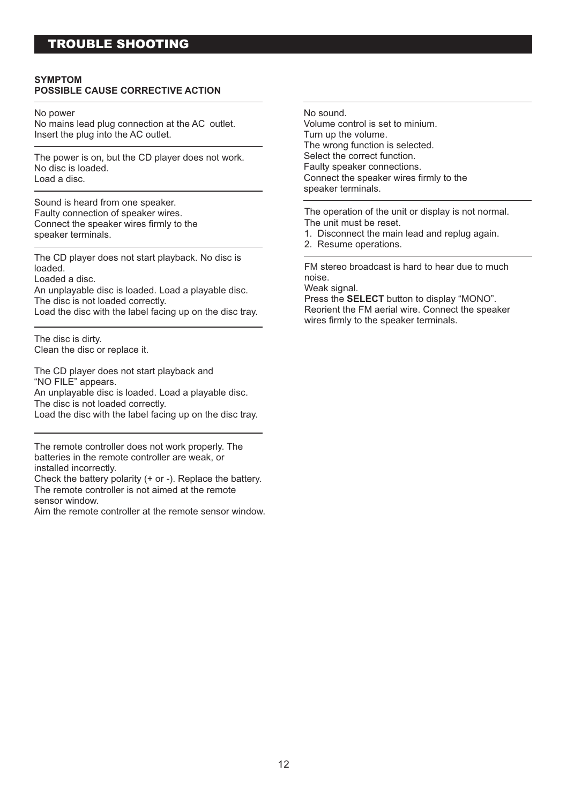### **TROUBLE SHOOTING**

#### **SYMPTOM POSSIBLE CAUSE CORRECTIVE ACTION**

No power

No mains lead plug connection at the AC outlet. Insert the plug into the AC outlet.

The power is on, but the CD player does not work. No disc is loaded. Load a disc.

Sound is heard from one speaker. Faulty connection of speaker wires. Connect the speaker wires firmly to the speaker terminals.

The CD player does not start playback. No disc is loaded.

Loaded a disc.

An unplayable disc is loaded. Load a playable disc. The disc is not loaded correctly.

Load the disc with the label facing up on the disc tray.

The disc is dirty. Clean the disc or replace it.

The CD player does not start playback and "NO FILE" appears. An unplayable disc is loaded. Load a playable disc. The disc is not loaded correctly. Load the disc with the label facing up on the disc tray.

The remote controller does not work properly. The batteries in the remote controller are weak, or installed incorrectly.

Check the battery polarity (+ or -). Replace the battery. The remote controller is not aimed at the remote sensor window.

Aim the remote controller at the remote sensor window.

No sound.

Volume control is set to minium. Turn up the volume. The wrong function is selected. Select the correct function. Faulty speaker connections. Connect the speaker wires firmly to the speaker terminals.

The operation of the unit or display is not normal. The unit must be reset.

- 1. Disconnect the main lead and replug again.
- 2. Resume operations.

FM stereo broadcast is hard to hear due to much noise.

Weak signal.

Press the **SELECT** button to display "MONO". Reorient the FM aerial wire. Connect the speaker wires firmly to the speaker terminals.